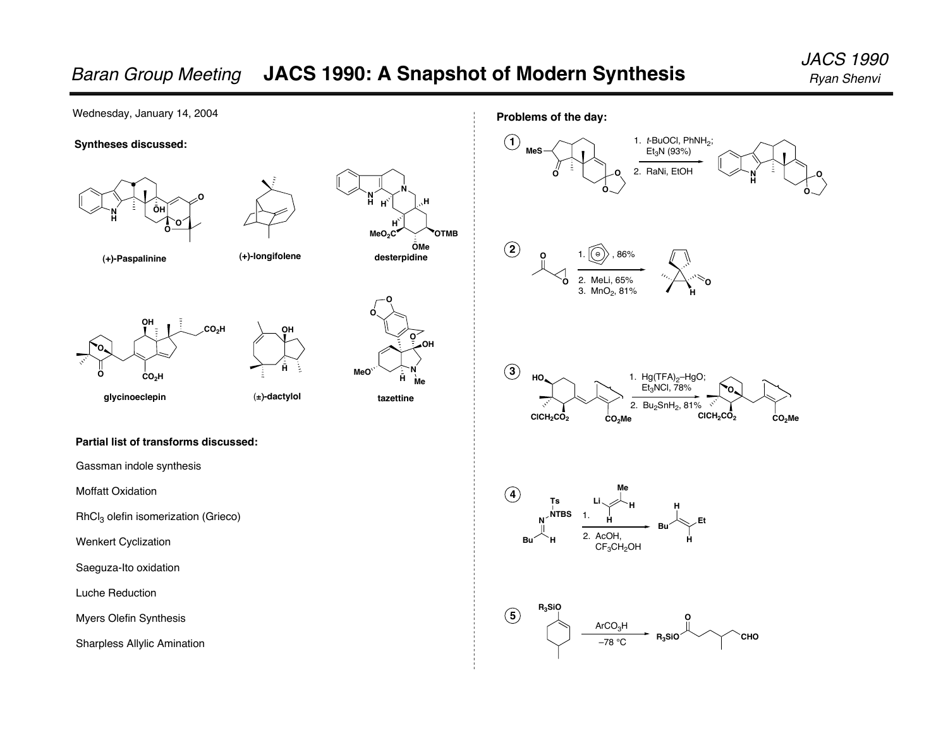## Baran Group Meeting **JACS 1990: A Snapshot of Modern Synthesis** Ryan Shenvi

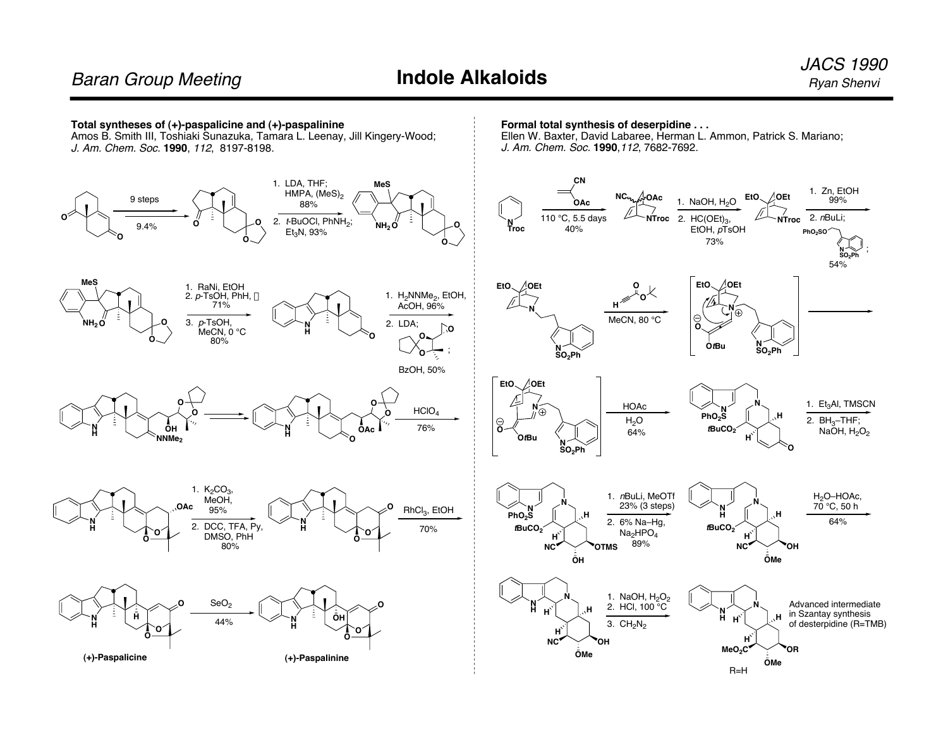## Baran Group Meeting **Reading Ryan Shenvi Ryan Shenvi Ryan Shenvi** Ryan Shenvi Ryan Shenvi

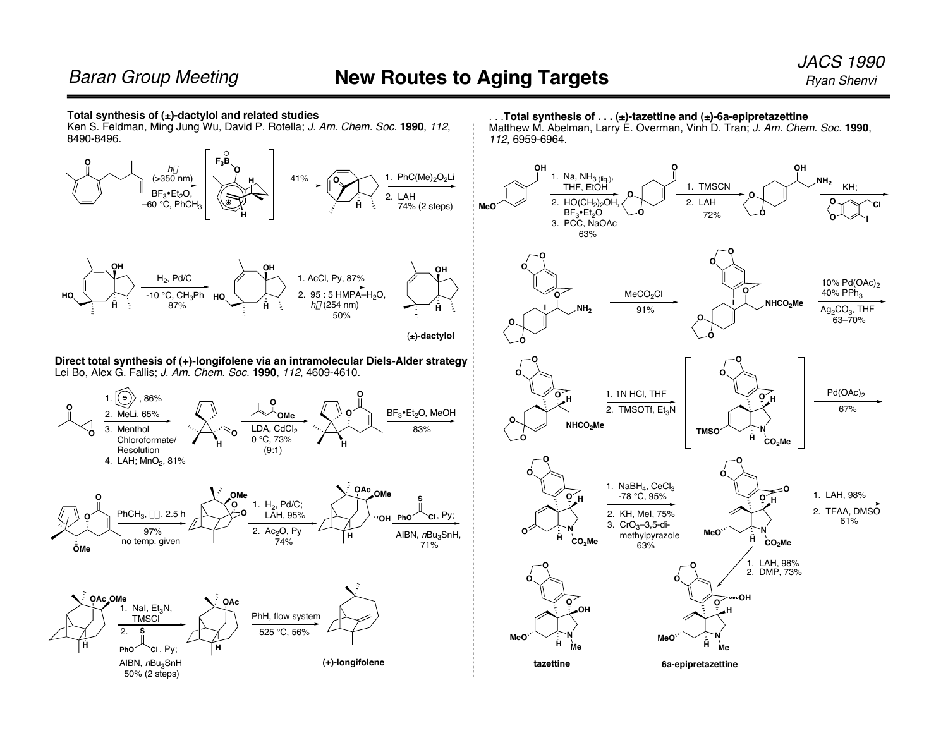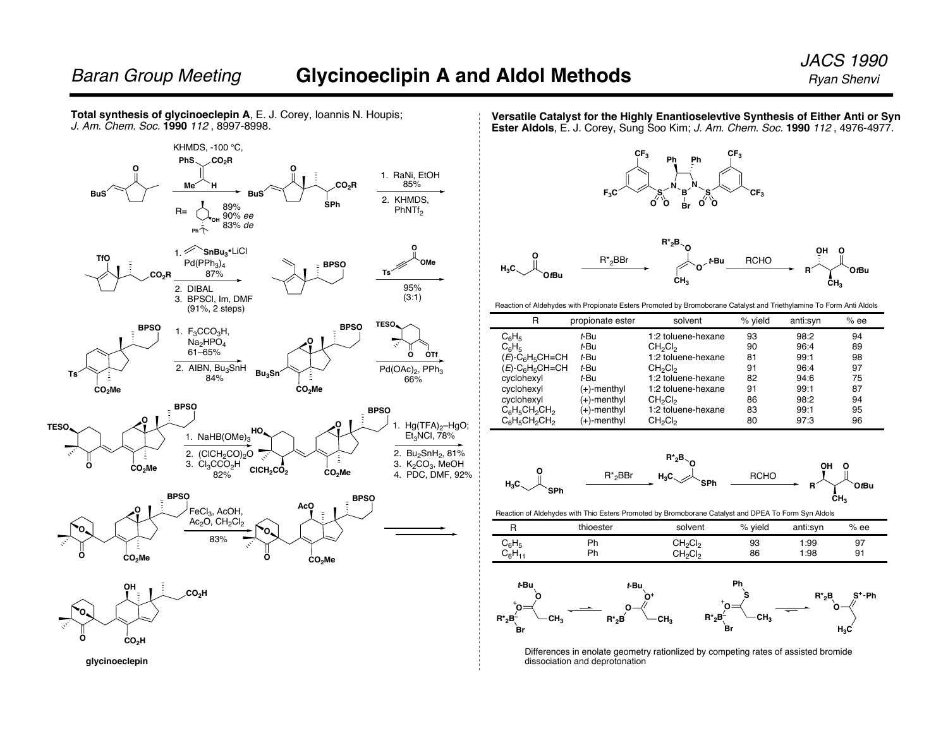qlycinoeclepin

Total synthesis of glycinoeclepin A, E. J. Corey, Ioannis N. Houpis; J. Am. Chem. Soc. 1990 112, 8997-8998. KHMDS, -100 °C, PhS.  $\angle CO_2R$ 1. RaNi, EtOH 85% Me CO<sub>2</sub>R **BuS BuS** 2. KHMDS **SPh** 89%  $PhNTf<sub>2</sub>$  $R=$ 90% ee 'он 83% de  $Ph\bar{\uparrow}$  $1.65$ `SnBu<sub>3</sub> LiCl **TfO**  $Pd(PPh<sub>3</sub>)<sub>4</sub>$ OMe **BPSO** CO<sub>2</sub>R 87% Ts 95% 2. DIBAL  $(3:1)$ 3. BPSCI, Im, DMF (91%, 2 steps) **TESO BPSO BPSO** 1.  $F_3CCO_3H$ ,  $Na<sub>2</sub>HPO<sub>4</sub>$  $61 - 65%$ **OTf** O 2. AIBN, Bu<sub>3</sub>SnH Pd(OAc)<sub>2</sub>, PPh<sub>3</sub>  $Bu<sub>3</sub>Sn$ T. 84% 66% CO<sub>2</sub>Me  $CO<sub>2</sub>Me$ **BPSO BPSO** 1. Hg(TFA)<sub>2</sub>-HgO; TESO. HO 1. NaHB $(OMe)_3$  $Et<sub>3</sub>NCI, 78%$ 2. Bu<sub>2</sub>SnH<sub>2</sub>, 81% 2. (CICH<sub>2</sub>CO)<sub>2</sub>O Ë 3.  $Cl_3CCO_2H$ 3.  $K_2CO_3$ , MeOH  $\Omega$  $CO<sub>2</sub>Me$  $CICH_2CO_2$  $CO<sub>2</sub>Me$ 82% 4. PDC, DMF, 92% **BPSO BPSO** AcO FeCl<sub>3</sub>, AcOH,  $Ac_2O$ ,  $CH_2Cl_2$ 83% Ė CO<sub>2</sub>Me  $\mathbf{o}$  $CO<sub>2</sub>Me$ **CO<sub>2</sub>H** CO<sub>2</sub>H

## Versatile Catalyst for the Highly Enantioselevtive Synthesis of Either Anti or Syn Ester Aldols, E. J. Corey, Sung Soo Kim; J. Am. Chem. Soc. 1990 112, 4976-4977.





Reaction of Aldehydes with Propionate Esters Promoted by Bromoborane Catalyst and Triethylamine To Form Anti Aldols

| R                                          | propionate ester | solvent                             | % yield | anti:syn | %ee |
|--------------------------------------------|------------------|-------------------------------------|---------|----------|-----|
| $C_6H_5$                                   | t-Bu             | 1:2 toluene-hexane                  | 93      | 98:2     | 94  |
| $C_6H_5$                                   | t-Bu             | <b>CH<sub>2</sub>CI<sub>2</sub></b> | 90      | 96:4     | 89  |
| $(E)$ - $C_6H_5CH=CH$                      | t-Bu             | 1:2 toluene-hexane                  | 81      | 99:1     | 98  |
| $(E)$ -C <sub>6</sub> H <sub>5</sub> CH=CH | t-Bu             | <b>CH<sub>2</sub>CI<sub>2</sub></b> | 91      | 96:4     | 97  |
| cyclohexyl                                 | t-Bu             | 1:2 toluene-hexane                  | 82      | 94:6     | 75  |
| cyclohexyl                                 | (+)-menthyl      | 1:2 toluene-hexane                  | 91      | 99:1     | 87  |
| cyclohexyl                                 | (+)-menthyl      | CH <sub>2</sub> Cl <sub>2</sub>     | 86      | 98:2     | 94  |
| $C_6H_5CH_2CH_2$                           | (+)-menthyl      | 1:2 toluene-hexane                  | 83      | 99:1     | 95  |
| $C_6H_5CH_2CH_2$                           | (+)-menthyl      | CH <sub>2</sub> CI <sub>2</sub>     | 80      | 97:3     | 96  |



Reaction of Aldehydes with Thio Esters Promoted by Bromoborane Catalyst and DPEA To Form Syn Aldols

|             | thioester | solvent                         | % vield | anti:svn | %ee |
|-------------|-----------|---------------------------------|---------|----------|-----|
| $C_6H_5$    | Ph        | CH <sub>2</sub> CI2             | 93      | 1:99     | 97  |
| $C_6H_{11}$ | Ph        | CH <sub>2</sub> CI <sub>2</sub> | 86      | 1:98     | 91  |



Differences in enolate geometry rationlized by competing rates of assisted bromide dissociation and deprotonation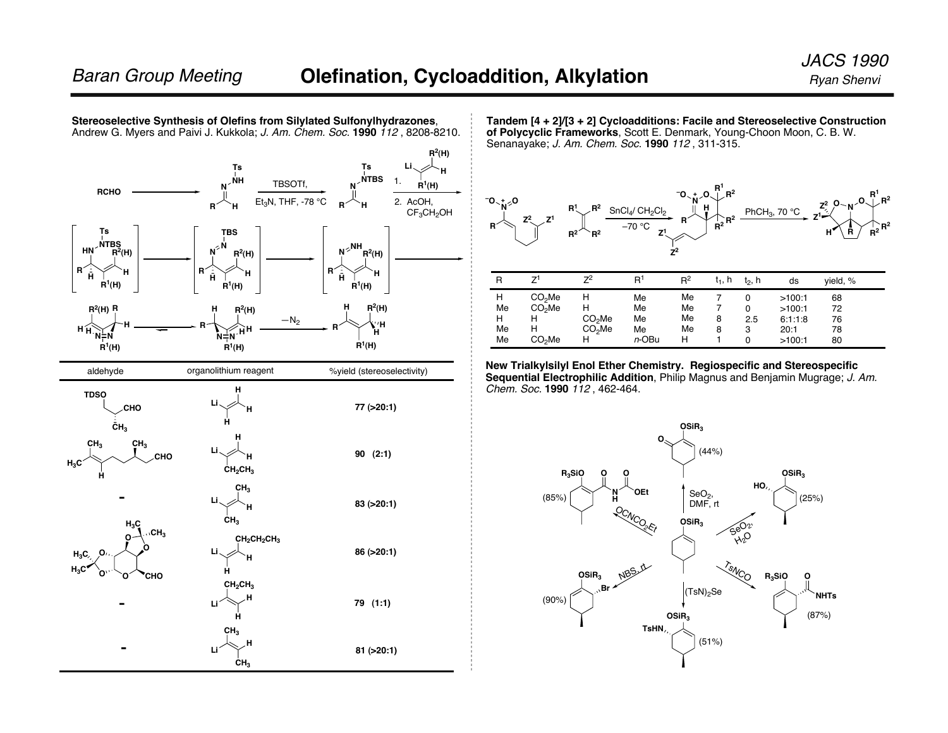**R1(H) Stereoselective Synthesis of Olefins from Silylated Sulfonylhydrazones**, Andrew G. Myers and Paivi J. Kukkola; J. Am. Chem. Soc. **1990** 112 , 8208-8210. **RCHO R H N NH Ts** TBSOTf, Et<sub>2</sub>N, THF, -78 °C **N NTBS Ts Li**  $R^2(H)$ **R1(H) H R HN NTBS Ts** 1. 2. AcOH,  $CF<sub>3</sub>CH<sub>2</sub>OH$  $R^2(H)$ **R1(H) H R N N R2(H)**  $R^1(H)$ **H TBS R <sup>N</sup> NH**  $R^2(H)$  $R^1(H)$ **H N N H R H H H H**  $R^2(H)$ **R1(H) N N R R2(H) H H H**  $\frac{M-N}{2}$  **H**  $\frac{M}{2}$  **H**  $\frac{M}{2}$  **H**  $\frac{M}{2}$ **R1(H) H R R2(H) H**  $-N_2$  **B**  $\sqrt{x'}$ H **O O O O**  $H_3C^{\bullet}$   $\rightarrow$ **CHO H3C CH3 H3C CH3**  $H_3C$ **CHO CH3 H TDSO CH3 CHO H H Li H H H Li CH2CH3 H CH3 Li CH3 H Li CH3 H H Li CH2CH3 H** CH<sub>2</sub>CH<sub>3</sub>CH<sub>3</sub> **Li H** aldehyde organolithium reagent %yield (stereoselectivity) **77 (>20:1) 90 (2:1) 83 (>20:1) 86 (>20:1) 79 (1:1) 81 (>20:1)**

**CH3**

**Tandem [4 + 2]/[3 + 2] Cycloadditions: Facile and Stereoselective Construction of Polycyclic Frameworks**, Scott E. Denmark, Young-Choon Moon, C. B. W. Senanayake; J. Am. Chem. Soc. **1990** 112 , 311-315.



| R                        |                                                                     | 72                                                      | R <sup>1</sup>                   | $R^2$                | $t_1$ , h | $t_2$ , h | ds                                            | vield, %                   |  |
|--------------------------|---------------------------------------------------------------------|---------------------------------------------------------|----------------------------------|----------------------|-----------|-----------|-----------------------------------------------|----------------------------|--|
| н<br>Me<br>н<br>Me<br>Me | CO <sub>2</sub> Me<br>CO <sub>2</sub> Me<br>н<br>CO <sub>2</sub> Me | н<br>Н<br>CO <sub>2</sub> Me<br>CO <sub>2</sub> Me<br>н | Me<br>Me<br>Me<br>Me<br>$n$ -OBu | Me<br>Me<br>Me<br>Me | 8<br>8    | 2.5<br>3  | >100:1<br>>100:1<br>6:1:1:8<br>20:1<br>>100:1 | 68<br>72<br>76<br>78<br>80 |  |

**New Trialkylsilyl Enol Ether Chemistry. Regiospecific and Stereospecific Sequential Electrophilic Addition**, Philip Magnus and Benjamin Mugrage; J. Am. Chem. Soc. **1990** 112 , 462-464.